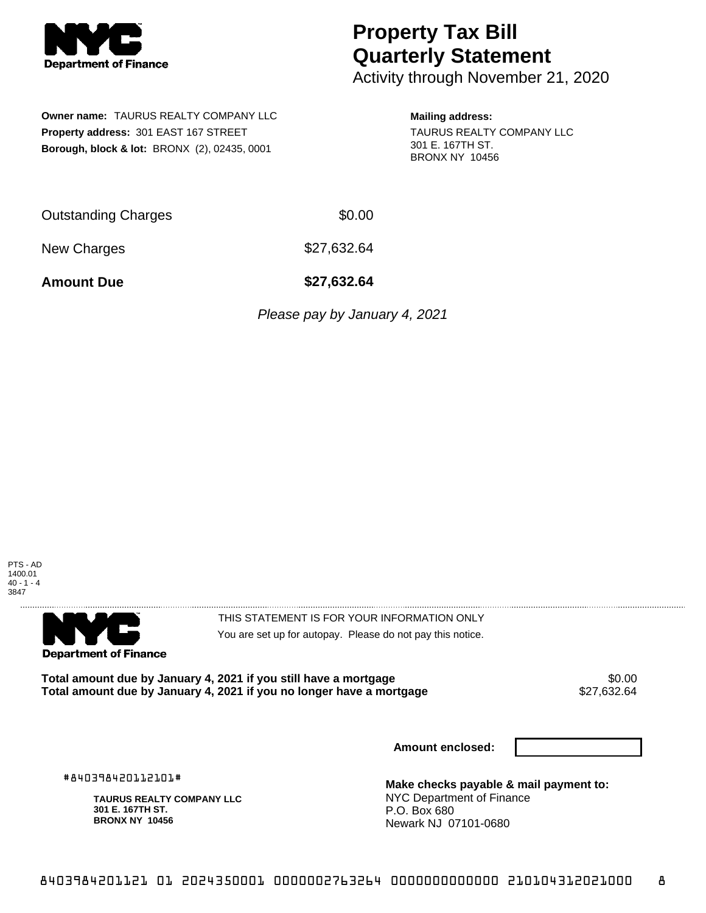

## **Property Tax Bill Quarterly Statement**

Activity through November 21, 2020

**Owner name:** TAURUS REALTY COMPANY LLC **Property address:** 301 EAST 167 STREET **Borough, block & lot:** BRONX (2), 02435, 0001

## **Mailing address:**

TAURUS REALTY COMPANY LLC 301 E. 167TH ST. BRONX NY 10456

| <b>Outstanding Charges</b> | \$0.00 |
|----------------------------|--------|
|                            |        |

New Charges \$27,632.64

**Amount Due \$27,632.64**

Please pay by January 4, 2021





THIS STATEMENT IS FOR YOUR INFORMATION ONLY You are set up for autopay. Please do not pay this notice.

Total amount due by January 4, 2021 if you still have a mortgage  $$0.00$ <br>Total amount due by January 4, 2021 if you no longer have a mortgage  $$27,632.64$ Total amount due by January 4, 2021 if you no longer have a mortgage

**Amount enclosed:**

#840398420112101#

**TAURUS REALTY COMPANY LLC 301 E. 167TH ST. BRONX NY 10456**

**Make checks payable & mail payment to:** NYC Department of Finance P.O. Box 680 Newark NJ 07101-0680